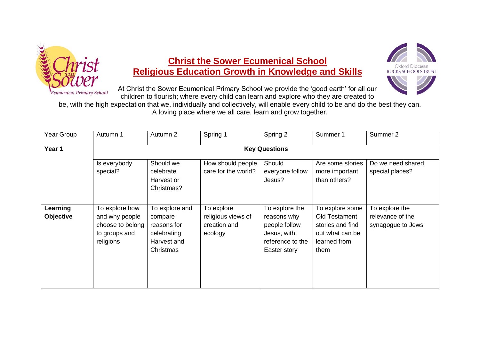

## **Christ the Sower Ecumenical School Religious Education Growth in Knowledge and Skills**



At Christ the Sower Ecumenical Primary School we provide the 'good earth' for all our children to flourish; where every child can learn and explore who they are created to

be, with the high expectation that we, individually and collectively, will enable every child to be and do the best they can.

A loving place where we all care, learn and grow together.

| Year Group                   | Autumn 1                                                                           | Autumn 2                                                                            | Spring 1                                                    | Spring 2                                                                                          | Summer 1                                                                                        | Summer 2                                                |  |  |  |
|------------------------------|------------------------------------------------------------------------------------|-------------------------------------------------------------------------------------|-------------------------------------------------------------|---------------------------------------------------------------------------------------------------|-------------------------------------------------------------------------------------------------|---------------------------------------------------------|--|--|--|
| Year 1                       | <b>Key Questions</b>                                                               |                                                                                     |                                                             |                                                                                                   |                                                                                                 |                                                         |  |  |  |
|                              | Is everybody<br>special?                                                           | Should we<br>celebrate<br>Harvest or<br>Christmas?                                  | How should people<br>care for the world?                    | Should<br>everyone follow<br>Jesus?                                                               | Are some stories<br>more important<br>than others?                                              | Do we need shared<br>special places?                    |  |  |  |
| Learning<br><b>Objective</b> | To explore how<br>and why people<br>choose to belong<br>to groups and<br>religions | To explore and<br>compare<br>reasons for<br>celebrating<br>Harvest and<br>Christmas | To explore<br>religious views of<br>creation and<br>ecology | To explore the<br>reasons why<br>people follow<br>Jesus, with<br>reference to the<br>Easter story | To explore some<br>Old Testament<br>stories and find<br>out what can be<br>learned from<br>them | To explore the<br>relevance of the<br>synagogue to Jews |  |  |  |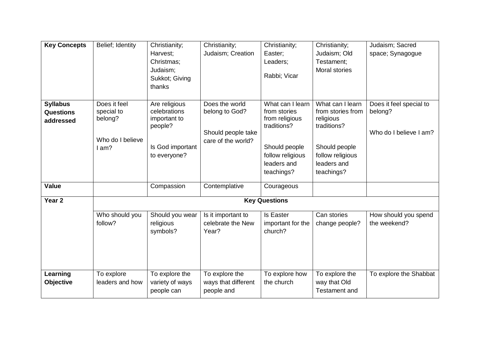| <b>Key Concepts</b> | Belief; Identity | Christianity;              | Christianity;       | Christianity;                 | Christianity;            | Judaism; Sacred         |
|---------------------|------------------|----------------------------|---------------------|-------------------------------|--------------------------|-------------------------|
|                     |                  | Harvest;                   | Judaism; Creation   | Easter;                       | Judaism; Old             | space; Synagogue        |
|                     |                  | Christmas;                 |                     | Leaders;                      | Testament;               |                         |
|                     |                  | Judaism;<br>Sukkot; Giving |                     | Rabbi; Vicar                  | <b>Moral stories</b>     |                         |
|                     |                  | thanks                     |                     |                               |                          |                         |
|                     |                  |                            |                     |                               |                          |                         |
| <b>Syllabus</b>     | Does it feel     | Are religious              | Does the world      | What can I learn              | What can I learn         | Does it feel special to |
| <b>Questions</b>    | special to       | celebrations               | belong to God?      | from stories                  | from stories from        | belong?                 |
| addressed           | belong?          | important to               |                     | from religious<br>traditions? | religious<br>traditions? |                         |
|                     |                  | people?                    | Should people take  |                               |                          | Who do I believe I am?  |
|                     | Who do I believe |                            | care of the world?  |                               |                          |                         |
|                     | I am?            | Is God important           |                     | Should people                 | Should people            |                         |
|                     |                  | to everyone?               |                     | follow religious              | follow religious         |                         |
|                     |                  |                            |                     | leaders and                   | leaders and              |                         |
|                     |                  |                            |                     | teachings?                    | teachings?               |                         |
| <b>Value</b>        |                  | Compassion                 | Contemplative       | Courageous                    |                          |                         |
| Year <sub>2</sub>   |                  |                            |                     | <b>Key Questions</b>          |                          |                         |
|                     | Who should you   | Should you wear            | Is it important to  | <b>Is Easter</b>              | Can stories              | How should you spend    |
|                     | follow?          | religious                  | celebrate the New   | important for the             | change people?           | the weekend?            |
|                     |                  | symbols?                   | Year?               | church?                       |                          |                         |
|                     |                  |                            |                     |                               |                          |                         |
|                     |                  |                            |                     |                               |                          |                         |
|                     |                  |                            |                     |                               |                          |                         |
| Learning            | To explore       | To explore the             | To explore the      | To explore how                | To explore the           | To explore the Shabbat  |
| Objective           | leaders and how  | variety of ways            | ways that different | the church                    | way that Old             |                         |
|                     |                  | people can                 | people and          |                               | <b>Testament and</b>     |                         |
|                     |                  |                            |                     |                               |                          |                         |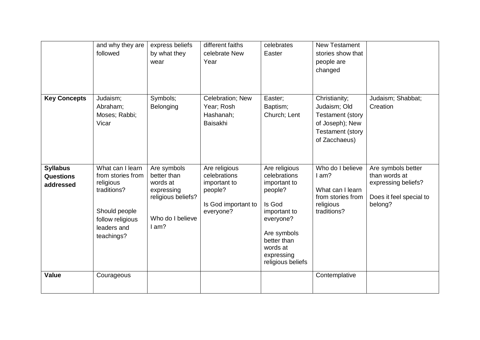|                                                  | and why they are<br>followed                                                                                                        | express beliefs<br>by what they<br>wear                                                                 | different faiths<br>celebrate New<br>Year                                                    | celebrates<br>Easter                                                                                                                                                         | <b>New Testament</b><br>stories show that<br>people are<br>changed                                                      |                                                                                                  |
|--------------------------------------------------|-------------------------------------------------------------------------------------------------------------------------------------|---------------------------------------------------------------------------------------------------------|----------------------------------------------------------------------------------------------|------------------------------------------------------------------------------------------------------------------------------------------------------------------------------|-------------------------------------------------------------------------------------------------------------------------|--------------------------------------------------------------------------------------------------|
| <b>Key Concepts</b>                              | Judaism;<br>Abraham;<br>Moses; Rabbi;<br>Vicar                                                                                      | Symbols;<br>Belonging                                                                                   | Celebration; New<br>Year; Rosh<br>Hashanah;<br>Baisakhi                                      | Easter;<br>Baptism;<br>Church; Lent                                                                                                                                          | Christianity;<br>Judaism; Old<br><b>Testament (story</b><br>of Joseph); New<br><b>Testament (story</b><br>of Zacchaeus) | Judaism; Shabbat;<br>Creation                                                                    |
| <b>Syllabus</b><br><b>Questions</b><br>addressed | What can I learn<br>from stories from<br>religious<br>traditions?<br>Should people<br>follow religious<br>leaders and<br>teachings? | Are symbols<br>better than<br>words at<br>expressing<br>religious beliefs?<br>Who do I believe<br>1 am? | Are religious<br>celebrations<br>important to<br>people?<br>Is God important to<br>everyone? | Are religious<br>celebrations<br>important to<br>people?<br>Is God<br>important to<br>everyone?<br>Are symbols<br>better than<br>words at<br>expressing<br>religious beliefs | Who do I believe<br>$l$ am?<br>What can I learn<br>from stories from<br>religious<br>traditions?                        | Are symbols better<br>than words at<br>expressing beliefs?<br>Does it feel special to<br>belong? |
| <b>Value</b>                                     | Courageous                                                                                                                          |                                                                                                         |                                                                                              |                                                                                                                                                                              | Contemplative                                                                                                           |                                                                                                  |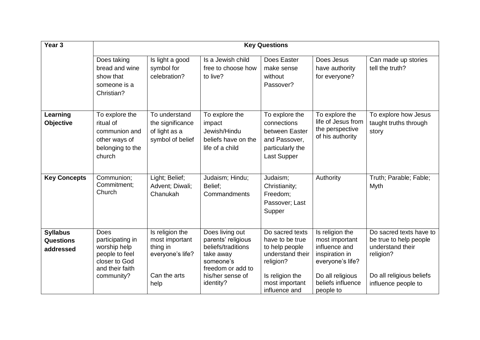| Year <sub>3</sub>                                | <b>Key Questions</b>                                                                                         |                                                                                           |                                                                                                                                             |                                                                                                                                             |                                                                                                                                                |                                                                                                                                       |  |  |
|--------------------------------------------------|--------------------------------------------------------------------------------------------------------------|-------------------------------------------------------------------------------------------|---------------------------------------------------------------------------------------------------------------------------------------------|---------------------------------------------------------------------------------------------------------------------------------------------|------------------------------------------------------------------------------------------------------------------------------------------------|---------------------------------------------------------------------------------------------------------------------------------------|--|--|
|                                                  | Does taking<br>bread and wine<br>show that<br>someone is a<br>Christian?                                     | Is light a good<br>symbol for<br>celebration?                                             | Is a Jewish child<br>free to choose how<br>to live?                                                                                         | Does Easter<br>make sense<br>without<br>Passover?                                                                                           | Does Jesus<br>have authority<br>for everyone?                                                                                                  | Can made up stories<br>tell the truth?                                                                                                |  |  |
| Learning<br>Objective                            | To explore the<br>ritual of<br>communion and<br>other ways of<br>belonging to the<br>church                  | To understand<br>the significance<br>of light as a<br>symbol of belief                    | To explore the<br>impact<br>Jewish/Hindu<br>beliefs have on the<br>life of a child                                                          | To explore the<br>connections<br>between Easter<br>and Passover.<br>particularly the<br>Last Supper                                         | To explore the<br>life of Jesus from<br>the perspective<br>of his authority                                                                    | To explore how Jesus<br>taught truths through<br>story                                                                                |  |  |
| <b>Key Concepts</b>                              | Communion;<br>Commitment;<br>Church                                                                          | Light; Belief;<br>Advent; Diwali;<br>Chanukah                                             | Judaism; Hindu;<br>Belief;<br>Commandments                                                                                                  | Judaism;<br>Christianity;<br>Freedom;<br>Passover; Last<br>Supper                                                                           | Authority                                                                                                                                      | Truth; Parable; Fable;<br>Myth                                                                                                        |  |  |
| <b>Syllabus</b><br><b>Questions</b><br>addressed | Does<br>participating in<br>worship help<br>people to feel<br>closer to God<br>and their faith<br>community? | Is religion the<br>most important<br>thing in<br>everyone's life?<br>Can the arts<br>help | Does living out<br>parents' religious<br>beliefs/traditions<br>take away<br>someone's<br>freedom or add to<br>his/her sense of<br>identity? | Do sacred texts<br>have to be true<br>to help people<br>understand their<br>religion?<br>Is religion the<br>most important<br>influence and | Is religion the<br>most important<br>influence and<br>inspiration in<br>everyone's life?<br>Do all religious<br>beliefs influence<br>people to | Do sacred texts have to<br>be true to help people<br>understand their<br>religion?<br>Do all religious beliefs<br>influence people to |  |  |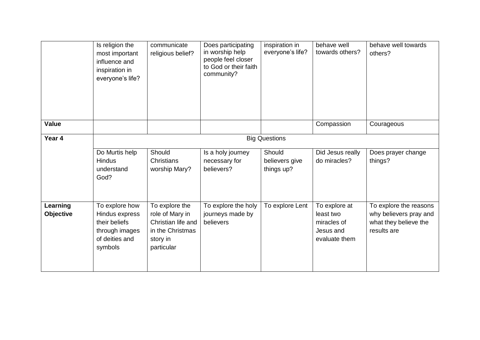|                              | Is religion the<br>most important<br>influence and<br>inspiration in<br>everyone's life?         | communicate<br>religious belief?                                                                      | Does participating<br>in worship help<br>people feel closer<br>to God or their faith<br>community? | inspiration in<br>everyone's life?     | behave well<br>towards others?                                          | behave well towards<br>others?                                                           |
|------------------------------|--------------------------------------------------------------------------------------------------|-------------------------------------------------------------------------------------------------------|----------------------------------------------------------------------------------------------------|----------------------------------------|-------------------------------------------------------------------------|------------------------------------------------------------------------------------------|
| <b>Value</b>                 |                                                                                                  |                                                                                                       |                                                                                                    |                                        | Compassion                                                              | Courageous                                                                               |
| Year 4                       |                                                                                                  |                                                                                                       |                                                                                                    | <b>Big Questions</b>                   |                                                                         |                                                                                          |
|                              | Do Murtis help<br>Hindus<br>understand<br>God?                                                   | Should<br><b>Christians</b><br>worship Mary?                                                          | Is a holy journey<br>necessary for<br>believers?                                                   | Should<br>believers give<br>things up? | Did Jesus really<br>do miracles?                                        | Does prayer change<br>things?                                                            |
| Learning<br><b>Objective</b> | To explore how<br>Hindus express<br>their beliefs<br>through images<br>of deities and<br>symbols | To explore the<br>role of Mary in<br>Christian life and<br>in the Christmas<br>story in<br>particular | To explore the holy<br>journeys made by<br>believers                                               | To explore Lent                        | To explore at<br>least two<br>miracles of<br>Jesus and<br>evaluate them | To explore the reasons<br>why believers pray and<br>what they believe the<br>results are |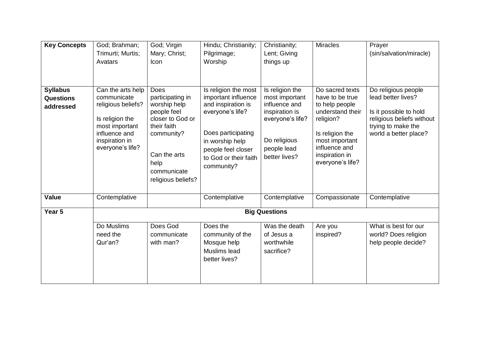| <b>Key Concepts</b>                              | God; Brahman;<br>Trimurti; Murtis;<br>Avatars                                                                                                      | God; Virgin<br>Mary; Christ;<br>Icon                                                                                                                                         | Hindu; Christianity;<br>Pilgrimage;<br>Worship                                                                                                                                              | Christianity;<br>Lent; Giving<br>things up                                                                                               | <b>Miracles</b>                                                                                                                                                                   | Prayer<br>(sin/salvation/miracle)                                                                                                               |
|--------------------------------------------------|----------------------------------------------------------------------------------------------------------------------------------------------------|------------------------------------------------------------------------------------------------------------------------------------------------------------------------------|---------------------------------------------------------------------------------------------------------------------------------------------------------------------------------------------|------------------------------------------------------------------------------------------------------------------------------------------|-----------------------------------------------------------------------------------------------------------------------------------------------------------------------------------|-------------------------------------------------------------------------------------------------------------------------------------------------|
| <b>Syllabus</b><br><b>Questions</b><br>addressed | Can the arts help<br>communicate<br>religious beliefs?<br>Is religion the<br>most important<br>influence and<br>inspiration in<br>everyone's life? | <b>Does</b><br>participating in<br>worship help<br>people feel<br>closer to God or<br>their faith<br>community?<br>Can the arts<br>help<br>communicate<br>religious beliefs? | Is religion the most<br>important influence<br>and inspiration is<br>everyone's life?<br>Does participating<br>in worship help<br>people feel closer<br>to God or their faith<br>community? | Is religion the<br>most important<br>influence and<br>inspiration is<br>everyone's life?<br>Do religious<br>people lead<br>better lives? | Do sacred texts<br>have to be true<br>to help people<br>understand their<br>religion?<br>Is religion the<br>most important<br>influence and<br>inspiration in<br>everyone's life? | Do religious people<br>lead better lives?<br>Is it possible to hold<br>religious beliefs without<br>trying to make the<br>world a better place? |
| <b>Value</b>                                     | Contemplative                                                                                                                                      |                                                                                                                                                                              | Contemplative                                                                                                                                                                               | Contemplative                                                                                                                            | Compassionate                                                                                                                                                                     | Contemplative                                                                                                                                   |
| Year 5                                           |                                                                                                                                                    |                                                                                                                                                                              |                                                                                                                                                                                             | <b>Big Questions</b>                                                                                                                     |                                                                                                                                                                                   |                                                                                                                                                 |
|                                                  | Do Muslims<br>need the<br>Qur'an?                                                                                                                  | Does God<br>communicate<br>with man?                                                                                                                                         | Does the<br>community of the<br>Mosque help<br>Muslims lead<br>better lives?                                                                                                                | Was the death<br>of Jesus a<br>worthwhile<br>sacrifice?                                                                                  | Are you<br>inspired?                                                                                                                                                              | What is best for our<br>world? Does religion<br>help people decide?                                                                             |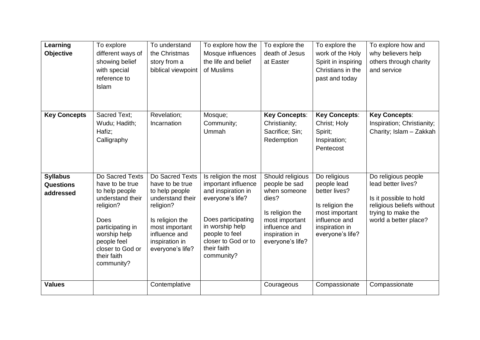| Learning<br>Objective                            | To explore<br>different ways of<br>showing belief<br>with special<br>reference to<br>Islam                                                                                                        | To understand<br>the Christmas<br>story from a<br>biblical viewpoint                                                                                                              | To explore how the<br>Mosque influences<br>the life and belief<br>of Muslims                                                                                                                         | To explore the<br>death of Jesus<br>at Easter                                                                                                          | To explore the<br>work of the Holy<br>Spirit in inspiring<br>Christians in the<br>past and today                                         | To explore how and<br>why believers help<br>others through charity<br>and service                                                               |
|--------------------------------------------------|---------------------------------------------------------------------------------------------------------------------------------------------------------------------------------------------------|-----------------------------------------------------------------------------------------------------------------------------------------------------------------------------------|------------------------------------------------------------------------------------------------------------------------------------------------------------------------------------------------------|--------------------------------------------------------------------------------------------------------------------------------------------------------|------------------------------------------------------------------------------------------------------------------------------------------|-------------------------------------------------------------------------------------------------------------------------------------------------|
| <b>Key Concepts</b>                              | Sacred Text;<br>Wudu; Hadith;<br>Hafiz;<br>Calligraphy                                                                                                                                            | Revelation;<br>Incarnation                                                                                                                                                        | Mosque;<br>Community;<br>Ummah                                                                                                                                                                       | <b>Key Concepts:</b><br>Christianity;<br>Sacrifice; Sin;<br>Redemption                                                                                 | <b>Key Concepts:</b><br>Christ; Holy<br>Spirit;<br>Inspiration;<br>Pentecost                                                             | <b>Key Concepts:</b><br>Inspiration; Christianity;<br>Charity; Islam - Zakkah                                                                   |
| <b>Syllabus</b><br><b>Questions</b><br>addressed | Do Sacred Texts<br>have to be true<br>to help people<br>understand their<br>religion?<br>Does<br>participating in<br>worship help<br>people feel<br>closer to God or<br>their faith<br>community? | Do Sacred Texts<br>have to be true<br>to help people<br>understand their<br>religion?<br>Is religion the<br>most important<br>influence and<br>inspiration in<br>everyone's life? | Is religion the most<br>important influence<br>and inspiration in<br>everyone's life?<br>Does participating<br>in worship help<br>people to feel<br>closer to God or to<br>their faith<br>community? | Should religious<br>people be sad<br>when someone<br>dies?<br>Is religion the<br>most important<br>influence and<br>inspiration in<br>everyone's life? | Do religious<br>people lead<br>better lives?<br>Is religion the<br>most important<br>influence and<br>inspiration in<br>everyone's life? | Do religious people<br>lead better lives?<br>Is it possible to hold<br>religious beliefs without<br>trying to make the<br>world a better place? |
| <b>Values</b>                                    |                                                                                                                                                                                                   | Contemplative                                                                                                                                                                     |                                                                                                                                                                                                      | Courageous                                                                                                                                             | Compassionate                                                                                                                            | Compassionate                                                                                                                                   |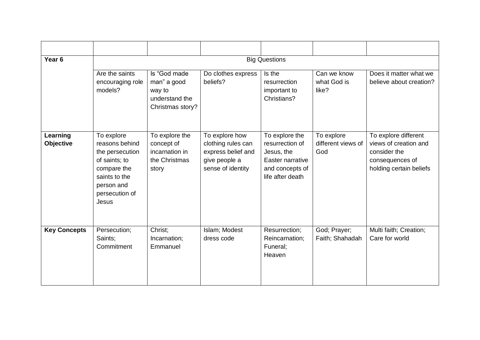| Year <sub>6</sub>            | <b>Big Questions</b>                                                                                                                      |                                                                             |                                                                                                  |                                                                                                            |                                         |                                                                                                             |  |  |
|------------------------------|-------------------------------------------------------------------------------------------------------------------------------------------|-----------------------------------------------------------------------------|--------------------------------------------------------------------------------------------------|------------------------------------------------------------------------------------------------------------|-----------------------------------------|-------------------------------------------------------------------------------------------------------------|--|--|
|                              | Are the saints<br>encouraging role<br>models?                                                                                             | Is "God made<br>man" a good<br>way to<br>understand the<br>Christmas story? | Do clothes express<br>beliefs?                                                                   | Is the<br>resurrection<br>important to<br>Christians?                                                      | Can we know<br>what God is<br>like?     | Does it matter what we<br>believe about creation?                                                           |  |  |
| Learning<br><b>Objective</b> | To explore<br>reasons behind<br>the persecution<br>of saints; to<br>compare the<br>saints to the<br>person and<br>persecution of<br>Jesus | To explore the<br>concept of<br>incarnation in<br>the Christmas<br>story    | To explore how<br>clothing rules can<br>express belief and<br>give people a<br>sense of identity | To explore the<br>resurrection of<br>Jesus, the<br>Easter narrative<br>and concepts of<br>life after death | To explore<br>different views of<br>God | To explore different<br>views of creation and<br>consider the<br>consequences of<br>holding certain beliefs |  |  |
| <b>Key Concepts</b>          | Persecution;<br>Saints;<br>Commitment                                                                                                     | Christ;<br>Incarnation;<br>Emmanuel                                         | Islam; Modest<br>dress code                                                                      | Resurrection;<br>Reincarnation;<br>Funeral;<br>Heaven                                                      | God; Prayer;<br>Faith; Shahadah         | Multi faith; Creation;<br>Care for world                                                                    |  |  |